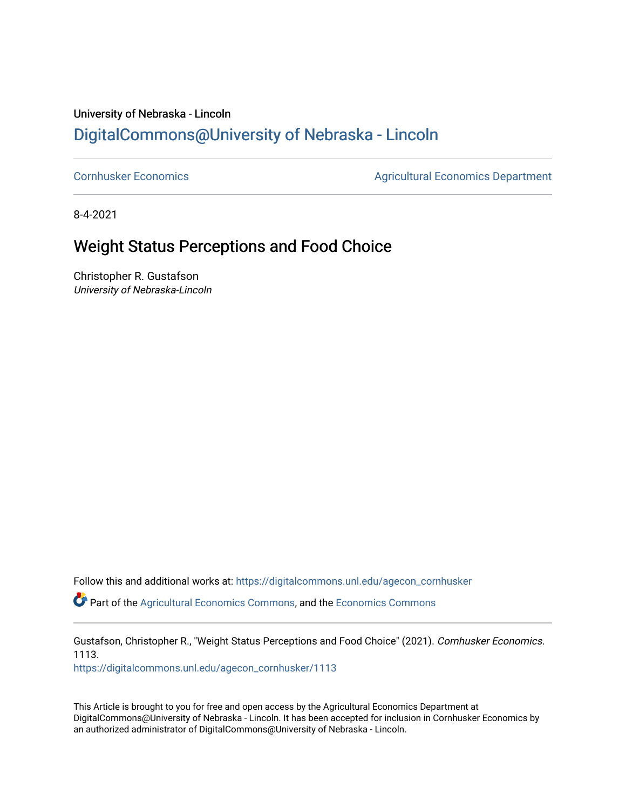### University of Nebraska - Lincoln [DigitalCommons@University of Nebraska - Lincoln](https://digitalcommons.unl.edu/)

[Cornhusker Economics](https://digitalcommons.unl.edu/agecon_cornhusker) **Agricultural Economics** Department

8-4-2021

## Weight Status Perceptions and Food Choice

Christopher R. Gustafson University of Nebraska-Lincoln

Follow this and additional works at: [https://digitalcommons.unl.edu/agecon\\_cornhusker](https://digitalcommons.unl.edu/agecon_cornhusker?utm_source=digitalcommons.unl.edu%2Fagecon_cornhusker%2F1113&utm_medium=PDF&utm_campaign=PDFCoverPages) 

Part of the [Agricultural Economics Commons,](http://network.bepress.com/hgg/discipline/1225?utm_source=digitalcommons.unl.edu%2Fagecon_cornhusker%2F1113&utm_medium=PDF&utm_campaign=PDFCoverPages) and the [Economics Commons](http://network.bepress.com/hgg/discipline/340?utm_source=digitalcommons.unl.edu%2Fagecon_cornhusker%2F1113&utm_medium=PDF&utm_campaign=PDFCoverPages) 

Gustafson, Christopher R., "Weight Status Perceptions and Food Choice" (2021). Cornhusker Economics. 1113.

[https://digitalcommons.unl.edu/agecon\\_cornhusker/1113](https://digitalcommons.unl.edu/agecon_cornhusker/1113?utm_source=digitalcommons.unl.edu%2Fagecon_cornhusker%2F1113&utm_medium=PDF&utm_campaign=PDFCoverPages)

This Article is brought to you for free and open access by the Agricultural Economics Department at DigitalCommons@University of Nebraska - Lincoln. It has been accepted for inclusion in Cornhusker Economics by an authorized administrator of DigitalCommons@University of Nebraska - Lincoln.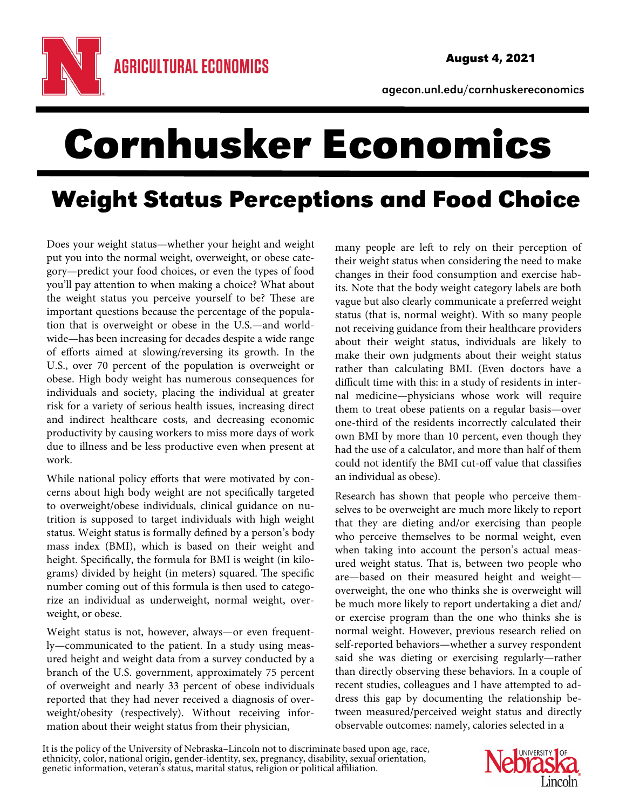

agecon.unl.edu/cornhuskereconomics

# Cornhusker Economics

# Weight Status Perceptions and Food Choice

Does your weight status—whether your height and weight put you into the normal weight, overweight, or obese category—predict your food choices, or even the types of food you'll pay attention to when making a choice? What about the weight status you perceive yourself to be? These are important questions because the percentage of the population that is overweight or obese in the U.S.—and worldwide—has been increasing for decades despite a wide range of efforts aimed at slowing/reversing its growth. In the U.S., over 70 percent of the population is overweight or obese. High body weight has numerous consequences for individuals and society, placing the individual at greater risk for a variety of serious health issues, increasing direct and indirect healthcare costs, and decreasing economic productivity by causing workers to miss more days of work due to illness and be less productive even when present at work.

While national policy efforts that were motivated by concerns about high body weight are not specifically targeted to overweight/obese individuals, clinical guidance on nutrition is supposed to target individuals with high weight status. Weight status is formally defined by a person's body mass index (BMI), which is based on their weight and height. Specifically, the formula for BMI is weight (in kilograms) divided by height (in meters) squared. The specific number coming out of this formula is then used to categorize an individual as underweight, normal weight, overweight, or obese.

Weight status is not, however, always—or even frequently—communicated to the patient. In a study using measured height and weight data from a survey conducted by a branch of the U.S. government, approximately 75 percent of overweight and nearly 33 percent of obese individuals reported that they had never received a diagnosis of overweight/obesity (respectively). Without receiving information about their weight status from their physician,

many people are left to rely on their perception of their weight status when considering the need to make changes in their food consumption and exercise habits. Note that the body weight category labels are both vague but also clearly communicate a preferred weight status (that is, normal weight). With so many people not receiving guidance from their healthcare providers about their weight status, individuals are likely to make their own judgments about their weight status rather than calculating BMI. (Even doctors have a difficult time with this: in a study of residents in internal medicine—physicians whose work will require them to treat obese patients on a regular basis—over one-third of the residents incorrectly calculated their own BMI by more than 10 percent, even though they had the use of a calculator, and more than half of them could not identify the BMI cut-off value that classifies an individual as obese).

Research has shown that people who perceive themselves to be overweight are much more likely to report that they are dieting and/or exercising than people who perceive themselves to be normal weight, even when taking into account the person's actual measured weight status. That is, between two people who are—based on their measured height and weight overweight, the one who thinks she is overweight will be much more likely to report undertaking a diet and/ or exercise program than the one who thinks she is normal weight. However, previous research relied on self-reported behaviors—whether a survey respondent said she was dieting or exercising regularly—rather than directly observing these behaviors. In a couple of recent studies, colleagues and I have attempted to address this gap by documenting the relationship between measured/perceived weight status and directly observable outcomes: namely, calories selected in a

It is the policy of the University of Nebraska–Lincoln not to discriminate based upon age, race, ethnicity, color, national origin, gender-identity, sex, pregnancy, disability, sexual orientation, genetic information, vete

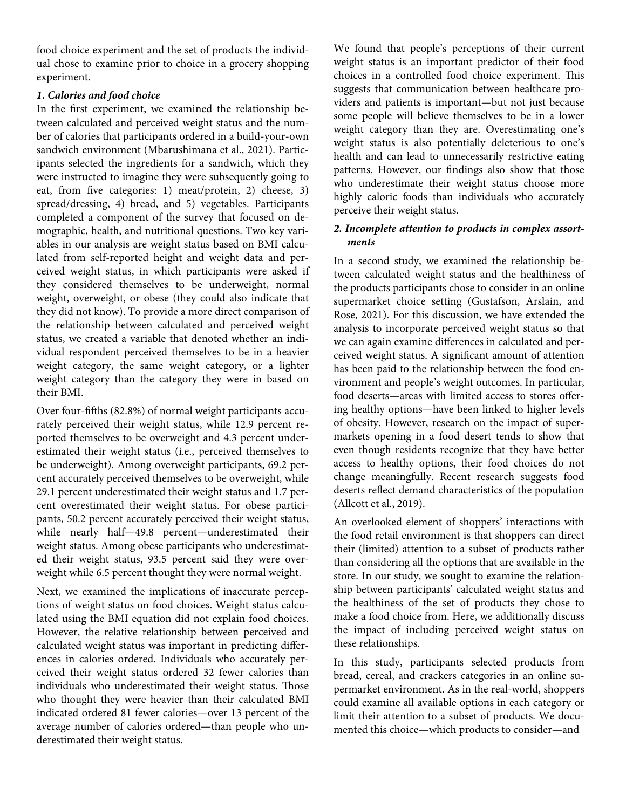food choice experiment and the set of products the individual chose to examine prior to choice in a grocery shopping experiment.

### *1. Calories and food choice*

In the first experiment, we examined the relationship between calculated and perceived weight status and the number of calories that participants ordered in a build-your-own sandwich environment (Mbarushimana et al., 2021). Participants selected the ingredients for a sandwich, which they were instructed to imagine they were subsequently going to eat, from five categories: 1) meat/protein, 2) cheese, 3) spread/dressing, 4) bread, and 5) vegetables. Participants completed a component of the survey that focused on demographic, health, and nutritional questions. Two key variables in our analysis are weight status based on BMI calculated from self-reported height and weight data and perceived weight status, in which participants were asked if they considered themselves to be underweight, normal weight, overweight, or obese (they could also indicate that they did not know). To provide a more direct comparison of the relationship between calculated and perceived weight status, we created a variable that denoted whether an individual respondent perceived themselves to be in a heavier weight category, the same weight category, or a lighter weight category than the category they were in based on their BMI.

Over four-fifths (82.8%) of normal weight participants accurately perceived their weight status, while 12.9 percent reported themselves to be overweight and 4.3 percent underestimated their weight status (i.e., perceived themselves to be underweight). Among overweight participants, 69.2 percent accurately perceived themselves to be overweight, while 29.1 percent underestimated their weight status and 1.7 percent overestimated their weight status. For obese participants, 50.2 percent accurately perceived their weight status, while nearly half—49.8 percent—underestimated their weight status. Among obese participants who underestimated their weight status, 93.5 percent said they were overweight while 6.5 percent thought they were normal weight.

Next, we examined the implications of inaccurate perceptions of weight status on food choices. Weight status calculated using the BMI equation did not explain food choices. However, the relative relationship between perceived and calculated weight status was important in predicting differences in calories ordered. Individuals who accurately perceived their weight status ordered 32 fewer calories than individuals who underestimated their weight status. Those who thought they were heavier than their calculated BMI indicated ordered 81 fewer calories—over 13 percent of the average number of calories ordered—than people who underestimated their weight status.

We found that people's perceptions of their current weight status is an important predictor of their food choices in a controlled food choice experiment. This suggests that communication between healthcare providers and patients is important—but not just because some people will believe themselves to be in a lower weight category than they are. Overestimating one's weight status is also potentially deleterious to one's health and can lead to unnecessarily restrictive eating patterns. However, our findings also show that those who underestimate their weight status choose more highly caloric foods than individuals who accurately perceive their weight status.

#### *2. Incomplete attention to products in complex assortments*

In a second study, we examined the relationship between calculated weight status and the healthiness of the products participants chose to consider in an online supermarket choice setting (Gustafson, Arslain, and Rose, 2021). For this discussion, we have extended the analysis to incorporate perceived weight status so that we can again examine differences in calculated and perceived weight status. A significant amount of attention has been paid to the relationship between the food environment and people's weight outcomes. In particular, food deserts—areas with limited access to stores offering healthy options—have been linked to higher levels of obesity. However, research on the impact of supermarkets opening in a food desert tends to show that even though residents recognize that they have better access to healthy options, their food choices do not change meaningfully. Recent research suggests food deserts reflect demand characteristics of the population (Allcott et al., 2019).

An overlooked element of shoppers' interactions with the food retail environment is that shoppers can direct their (limited) attention to a subset of products rather than considering all the options that are available in the store. In our study, we sought to examine the relationship between participants' calculated weight status and the healthiness of the set of products they chose to make a food choice from. Here, we additionally discuss the impact of including perceived weight status on these relationships.

In this study, participants selected products from bread, cereal, and crackers categories in an online supermarket environment. As in the real-world, shoppers could examine all available options in each category or limit their attention to a subset of products. We documented this choice—which products to consider—and